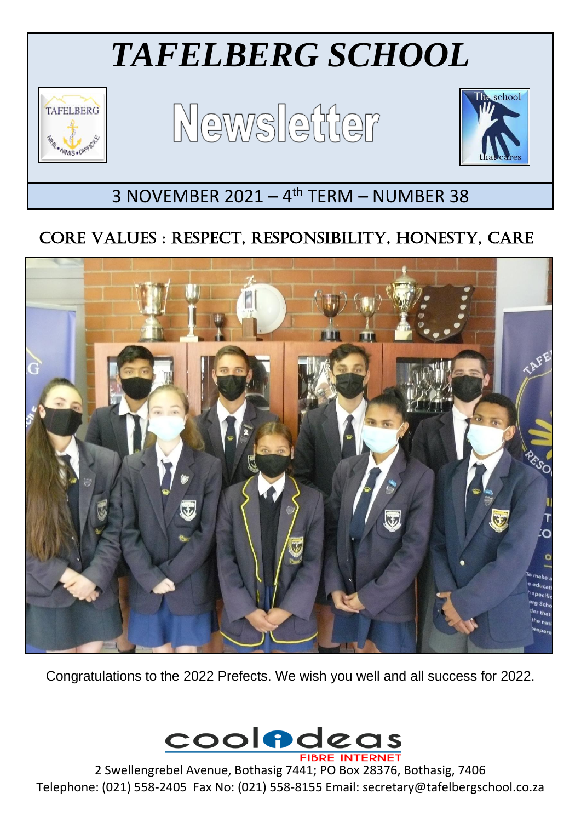# *TAFELBERG SCHOOL*



Ξ

Newsletter



## 3 NOVEMBER 2021 - 4<sup>th</sup> TERM - NUMBER 38

### CORE VALUES : RESPECT, RESPONSIBILITY, HONESTY, CARE



Congratulations to the 2022 Prefects. We wish you well and all success for 2022.



2 Swellengrebel Avenue, Bothasig 7441; PO Box 28376, Bothasig, 7406 Telephone: (021) 558-2405 Fax No: (021) 558-8155 Email: secretary@tafelbergschool.co.za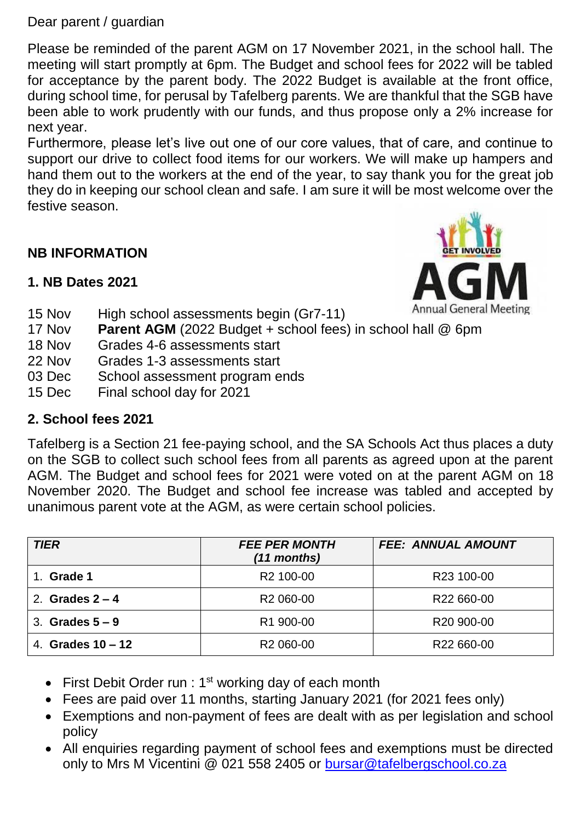Dear parent / guardian

Please be reminded of the parent AGM on 17 November 2021, in the school hall. The meeting will start promptly at 6pm. The Budget and school fees for 2022 will be tabled for acceptance by the parent body. The 2022 Budget is available at the front office, during school time, for perusal by Tafelberg parents. We are thankful that the SGB have been able to work prudently with our funds, and thus propose only a 2% increase for next year.

Furthermore, please let's live out one of our core values, that of care, and continue to support our drive to collect food items for our workers. We will make up hampers and hand them out to the workers at the end of the year, to say thank you for the great job they do in keeping our school clean and safe. I am sure it will be most welcome over the festive season.

#### **NB INFORMATION**

# Annual General Meeting

#### **1. NB Dates 2021**

- 15 Nov High school assessments begin (Gr7-11)
- 17 Nov **Parent AGM** (2022 Budget + school fees) in school hall @ 6pm
- 18 Nov Grades 4-6 assessments start
- 22 Nov Grades 1-3 assessments start
- 03 Dec School assessment program ends
- 15 Dec Final school day for 2021

#### **2. School fees 2021**

Tafelberg is a Section 21 fee-paying school, and the SA Schools Act thus places a duty on the SGB to collect such school fees from all parents as agreed upon at the parent AGM. The Budget and school fees for 2021 were voted on at the parent AGM on 18 November 2020. The Budget and school fee increase was tabled and accepted by unanimous parent vote at the AGM, as were certain school policies.

| <b>TIER</b>         | <b>FEE PER MONTH</b><br>$(11$ months) | <b>FEE: ANNUAL AMOUNT</b> |
|---------------------|---------------------------------------|---------------------------|
| Grade 1             | R <sub>2</sub> 100-00                 | R23 100-00                |
| 2. Grades $2 - 4$   | R <sub>2</sub> 060-00                 | R22 660-00                |
| 3. Grades $5-9$     | R1 900-00                             | R <sub>20</sub> 900-00    |
| 4. Grades $10 - 12$ | R <sub>2</sub> 060-00                 | R22 660-00                |

- First Debit Order run :  $1<sup>st</sup>$  working day of each month
- Fees are paid over 11 months, starting January 2021 (for 2021 fees only)
- Exemptions and non-payment of fees are dealt with as per legislation and school policy
- All enquiries regarding payment of school fees and exemptions must be directed only to Mrs M Vicentini @ 021 558 2405 or [bursar@tafelbergschool.co.za](mailto:bursar@tafelbergschool.co.za)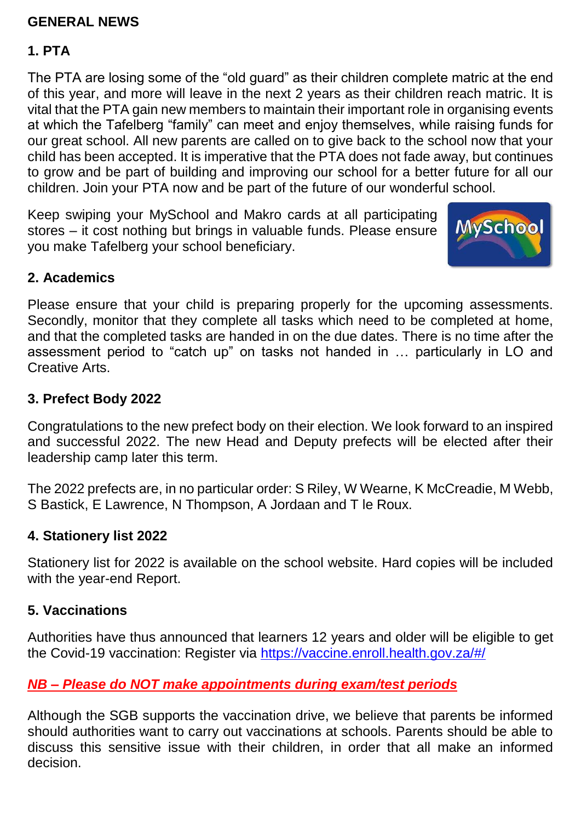#### **GENERAL NEWS**

#### **1. PTA**

The PTA are losing some of the "old guard" as their children complete matric at the end of this year, and more will leave in the next 2 years as their children reach matric. It is vital that the PTA gain new members to maintain their important role in organising events at which the Tafelberg "family" can meet and enjoy themselves, while raising funds for our great school. All new parents are called on to give back to the school now that your child has been accepted. It is imperative that the PTA does not fade away, but continues to grow and be part of building and improving our school for a better future for all our children. Join your PTA now and be part of the future of our wonderful school.

Keep swiping your MySchool and Makro cards at all participating stores – it cost nothing but brings in valuable funds. Please ensure you make Tafelberg your school beneficiary.



#### **2. Academics**

Please ensure that your child is preparing properly for the upcoming assessments. Secondly, monitor that they complete all tasks which need to be completed at home, and that the completed tasks are handed in on the due dates. There is no time after the assessment period to "catch up" on tasks not handed in … particularly in LO and Creative Arts.

#### **3. Prefect Body 2022**

Congratulations to the new prefect body on their election. We look forward to an inspired and successful 2022. The new Head and Deputy prefects will be elected after their leadership camp later this term.

The 2022 prefects are, in no particular order: S Riley, W Wearne, K McCreadie, M Webb, S Bastick, E Lawrence, N Thompson, A Jordaan and T le Roux.

#### **4. Stationery list 2022**

Stationery list for 2022 is available on the school website. Hard copies will be included with the year-end Report.

#### **5. Vaccinations**

Authorities have thus announced that learners 12 years and older will be eligible to get the Covid-19 vaccination: Register via <https://vaccine.enroll.health.gov.za/#/>

#### *NB – Please do NOT make appointments during exam/test periods*

Although the SGB supports the vaccination drive, we believe that parents be informed should authorities want to carry out vaccinations at schools. Parents should be able to discuss this sensitive issue with their children, in order that all make an informed decision.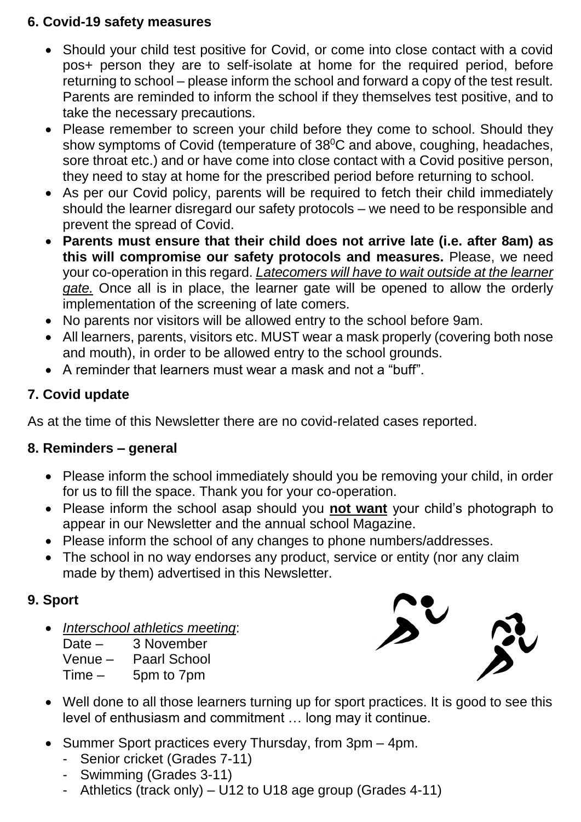#### **6. Covid-19 safety measures**

- Should your child test positive for Covid, or come into close contact with a covid pos+ person they are to self-isolate at home for the required period, before returning to school – please inform the school and forward a copy of the test result. Parents are reminded to inform the school if they themselves test positive, and to take the necessary precautions.
- Please remember to screen your child before they come to school. Should they show symptoms of Covid (temperature of  $38^{\circ}$ C and above, coughing, headaches, sore throat etc.) and or have come into close contact with a Covid positive person, they need to stay at home for the prescribed period before returning to school.
- As per our Covid policy, parents will be required to fetch their child immediately should the learner disregard our safety protocols – we need to be responsible and prevent the spread of Covid.
- **Parents must ensure that their child does not arrive late (i.e. after 8am) as this will compromise our safety protocols and measures.** Please, we need your co-operation in this regard. *Latecomers will have to wait outside at the learner gate.* Once all is in place, the learner gate will be opened to allow the orderly implementation of the screening of late comers.
- No parents nor visitors will be allowed entry to the school before 9am.
- All learners, parents, visitors etc. MUST wear a mask properly (covering both nose and mouth), in order to be allowed entry to the school grounds.
- A reminder that learners must wear a mask and not a "buff".

#### **7. Covid update**

As at the time of this Newsletter there are no covid-related cases reported.

#### **8. Reminders – general**

- Please inform the school immediately should you be removing your child, in order for us to fill the space. Thank you for your co-operation.
- Please inform the school asap should you **not want** your child's photograph to appear in our Newsletter and the annual school Magazine.
- Please inform the school of any changes to phone numbers/addresses.
- The school in no way endorses any product, service or entity (nor any claim made by them) advertised in this Newsletter.

#### **9. Sport**

*Interschool athletics meeting*:

Date – 3 November Venue – Paarl School Time – 5pm to 7pm



- Well done to all those learners turning up for sport practices. It is good to see this level of enthusiasm and commitment … long may it continue.
- Summer Sport practices every Thursday, from 3pm 4pm.
	- Senior cricket (Grades 7-11)
	- Swimming (Grades 3-11)
	- Athletics (track only) U12 to U18 age group (Grades 4-11)